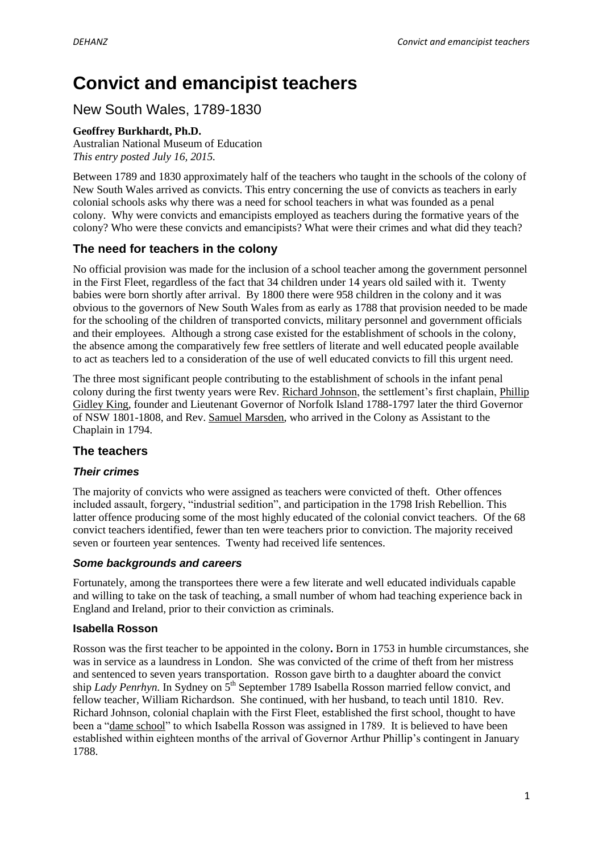# **Convict and emancipist teachers**

# New South Wales, 1789-1830

## **Geoffrey Burkhardt, Ph.D.**

Australian National Museum of Education *This entry posted July 16, 2015.*

Between 1789 and 1830 approximately half of the teachers who taught in the schools of the colony of New South Wales arrived as convicts. This entry concerning the use of convicts as teachers in early colonial schools asks why there was a need for school teachers in what was founded as a penal colony. Why were convicts and emancipists employed as teachers during the formative years of the colony? Who were these convicts and emancipists? What were their crimes and what did they teach?

# **The need for teachers in the colony**

No official provision was made for the inclusion of a school teacher among the government personnel in the First Fleet, regardless of the fact that 34 children under 14 years old sailed with it. Twenty babies were born shortly after arrival. By 1800 there were 958 children in the colony and it was obvious to the governors of New South Wales from as early as 1788 that provision needed to be made for the schooling of the children of transported convicts, military personnel and government officials and their employees. Although a strong case existed for the establishment of schools in the colony, the absence among the comparatively few free settlers of literate and well educated people available to act as teachers led to a consideration of the use of well educated convicts to fill this urgent need.

The three most significant people contributing to the establishment of schools in the infant penal colony during the first twenty years were Rev. [Richard Johnson,](http://adb.anu.edu.au/biography/johnson-richard-2275) the settlement's first chaplain, [Phillip](http://adb.anu.edu.au/biography/king-philip-gidley-3957)  [Gidley King,](http://adb.anu.edu.au/biography/king-philip-gidley-3957) founder and Lieutenant Governor of Norfolk Island 1788-1797 later the third Governor of NSW 1801-1808, and Rev. [Samuel Marsden,](http://adb.anu.edu.au/biography/marsden-samuel-2433) who arrived in the Colony as Assistant to the Chaplain in 1794.

# **The teachers**

#### *Their crimes*

The majority of convicts who were assigned as teachers were convicted of theft. Other offences included assault, forgery, "industrial sedition", and participation in the 1798 Irish Rebellion. This latter offence producing some of the most highly educated of the colonial convict teachers. Of the 68 convict teachers identified, fewer than ten were teachers prior to conviction. The majority received seven or fourteen year sentences. Twenty had received life sentences.

#### *Some backgrounds and careers*

Fortunately, among the transportees there were a few literate and well educated individuals capable and willing to take on the task of teaching, a small number of whom had teaching experience back in England and Ireland, prior to their conviction as criminals.

#### **Isabella Rosson**

Rosson was the first teacher to be appointed in the colony**.** Born in 1753 in humble circumstances, she was in service as a laundress in London. She was convicted of the crime of theft from her mistress and sentenced to seven years transportation. Rosson gave birth to a daughter aboard the convict ship *Lady Penrhyn*. In Sydney on 5<sup>th</sup> September 1789 Isabella Rosson married fellow convict, and fellow teacher, William Richardson. She continued, with her husband, to teach until 1810. Rev. Richard Johnson, colonial chaplain with the First Fleet, established the first school, thought to have been a ["dame school"](http://dehanz.net.au/entries/teaching-pedagogy-1/) to which Isabella Rosson was assigned in 1789. It is believed to have been established within eighteen months of the arrival of Governor Arthur Phillip's contingent in January 1788.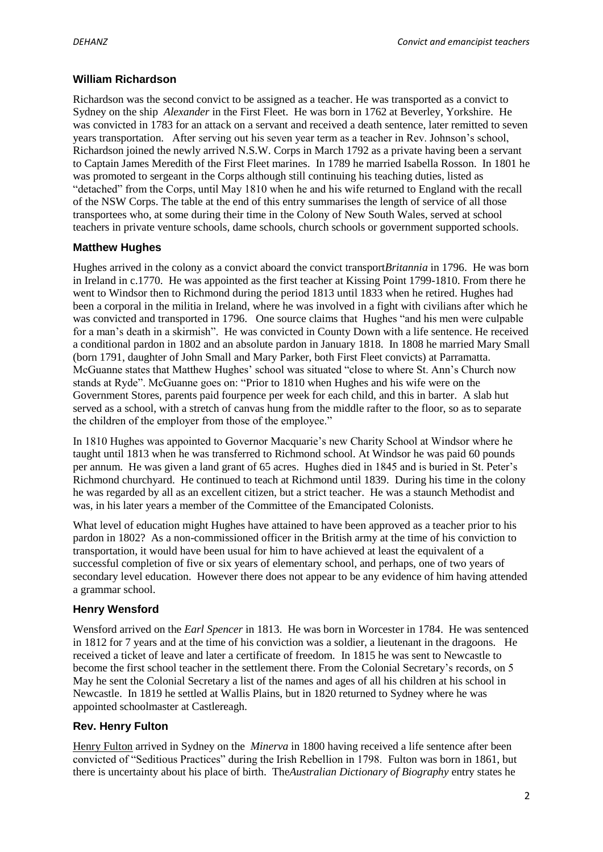## **William Richardson**

Richardson was the second convict to be assigned as a teacher. He was transported as a convict to Sydney on the ship *Alexander* in the First Fleet. He was born in 1762 at Beverley, Yorkshire. He was convicted in 1783 for an attack on a servant and received a death sentence, later remitted to seven years transportation. After serving out his seven year term as a teacher in Rev. Johnson's school, Richardson joined the newly arrived N.S.W. Corps in March 1792 as a private having been a servant to Captain James Meredith of the First Fleet marines. In 1789 he married Isabella Rosson. In 1801 he was promoted to sergeant in the Corps although still continuing his teaching duties, listed as "detached" from the Corps, until May 1810 when he and his wife returned to England with the recall of the NSW Corps. The table at the end of this entry summarises the length of service of all those transportees who, at some during their time in the Colony of New South Wales, served at school teachers in private venture schools, dame schools, church schools or government supported schools.

## **Matthew Hughes**

Hughes arrived in the colony as a convict aboard the convict transport*Britannia* in 1796. He was born in Ireland in c.1770. He was appointed as the first teacher at Kissing Point 1799-1810. From there he went to Windsor then to Richmond during the period 1813 until 1833 when he retired. Hughes had been a corporal in the militia in Ireland, where he was involved in a fight with civilians after which he was convicted and transported in 1796. One source claims that Hughes "and his men were culpable for a man's death in a skirmish". He was convicted in County Down with a life sentence. He received a conditional pardon in 1802 and an absolute pardon in January 1818. In 1808 he married Mary Small (born 1791, daughter of John Small and Mary Parker, both First Fleet convicts) at Parramatta. McGuanne states that Matthew Hughes' school was situated "close to where St. Ann's Church now stands at Ryde". McGuanne goes on: "Prior to 1810 when Hughes and his wife were on the Government Stores, parents paid fourpence per week for each child, and this in barter. A slab hut served as a school, with a stretch of canvas hung from the middle rafter to the floor, so as to separate the children of the employer from those of the employee."

In 1810 Hughes was appointed to Governor Macquarie's new Charity School at Windsor where he taught until 1813 when he was transferred to Richmond school. At Windsor he was paid 60 pounds per annum. He was given a land grant of 65 acres. Hughes died in 1845 and is buried in St. Peter's Richmond churchyard. He continued to teach at Richmond until 1839. During his time in the colony he was regarded by all as an excellent citizen, but a strict teacher. He was a staunch Methodist and was, in his later years a member of the Committee of the Emancipated Colonists.

What level of education might Hughes have attained to have been approved as a teacher prior to his pardon in 1802? As a non-commissioned officer in the British army at the time of his conviction to transportation, it would have been usual for him to have achieved at least the equivalent of a successful completion of five or six years of elementary school, and perhaps, one of two years of secondary level education. However there does not appear to be any evidence of him having attended a grammar school.

#### **Henry Wensford**

Wensford arrived on the *Earl Spencer* in 1813. He was born in Worcester in 1784. He was sentenced in 1812 for 7 years and at the time of his conviction was a soldier, a lieutenant in the dragoons. He received a ticket of leave and later a certificate of freedom. In 1815 he was sent to Newcastle to become the first school teacher in the settlement there. From the Colonial Secretary's records, on 5 May he sent the Colonial Secretary a list of the names and ages of all his children at his school in Newcastle. In 1819 he settled at Wallis Plains, but in 1820 returned to Sydney where he was appointed schoolmaster at Castlereagh.

#### **Rev. Henry Fulton**

[Henry Fulton](http://adb.anu.edu.au/biography/fulton-henry-2074) arrived in Sydney on the *Minerva* in 1800 having received a life sentence after been convicted of "Seditious Practices" during the Irish Rebellion in 1798. Fulton was born in 1861, but there is uncertainty about his place of birth. The*Australian Dictionary of Biography* entry states he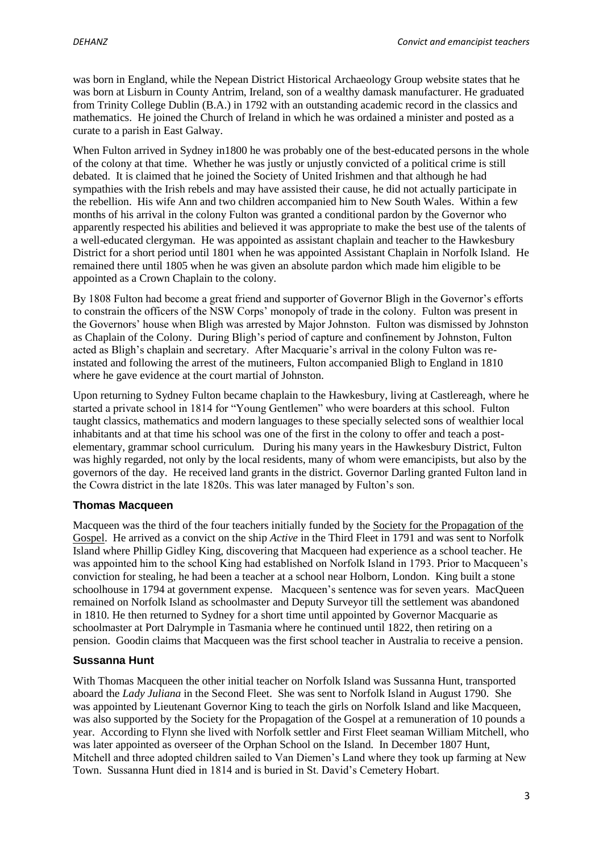was born in England, while the Nepean District Historical Archaeology Group website states that he was born at Lisburn in County Antrim, Ireland, son of a wealthy damask manufacturer. He graduated from Trinity College Dublin (B.A.) in 1792 with an outstanding academic record in the classics and mathematics. He joined the Church of Ireland in which he was ordained a minister and posted as a curate to a parish in East Galway.

When Fulton arrived in Sydney in 1800 he was probably one of the best-educated persons in the whole of the colony at that time. Whether he was justly or unjustly convicted of a political crime is still debated. It is claimed that he joined the Society of United Irishmen and that although he had sympathies with the Irish rebels and may have assisted their cause, he did not actually participate in the rebellion. His wife Ann and two children accompanied him to New South Wales. Within a few months of his arrival in the colony Fulton was granted a conditional pardon by the Governor who apparently respected his abilities and believed it was appropriate to make the best use of the talents of a well-educated clergyman. He was appointed as assistant chaplain and teacher to the Hawkesbury District for a short period until 1801 when he was appointed Assistant Chaplain in Norfolk Island. He remained there until 1805 when he was given an absolute pardon which made him eligible to be appointed as a Crown Chaplain to the colony.

By 1808 Fulton had become a great friend and supporter of Governor Bligh in the Governor's efforts to constrain the officers of the NSW Corps' monopoly of trade in the colony. Fulton was present in the Governors' house when Bligh was arrested by Major Johnston. Fulton was dismissed by Johnston as Chaplain of the Colony. During Bligh's period of capture and confinement by Johnston, Fulton acted as Bligh's chaplain and secretary. After Macquarie's arrival in the colony Fulton was reinstated and following the arrest of the mutineers, Fulton accompanied Bligh to England in 1810 where he gave evidence at the court martial of Johnston.

Upon returning to Sydney Fulton became chaplain to the Hawkesbury, living at Castlereagh, where he started a private school in 1814 for "Young Gentlemen" who were boarders at this school. Fulton taught classics, mathematics and modern languages to these specially selected sons of wealthier local inhabitants and at that time his school was one of the first in the colony to offer and teach a postelementary, grammar school curriculum. During his many years in the Hawkesbury District, Fulton was highly regarded, not only by the local residents, many of whom were emancipists, but also by the governors of the day. He received land grants in the district. Governor Darling granted Fulton land in the Cowra district in the late 1820s. This was later managed by Fulton's son.

# **Thomas Macqueen**

Macqueen was the third of the four teachers initially funded by the [Society for the Propagation of the](http://www.mundus.ac.uk/cats/12/254.htm)  [Gospel.](http://www.mundus.ac.uk/cats/12/254.htm) He arrived as a convict on the ship *Active* in the Third Fleet in 1791 and was sent to Norfolk Island where Phillip Gidley King, discovering that Macqueen had experience as a school teacher. He was appointed him to the school King had established on Norfolk Island in 1793. Prior to Macqueen's conviction for stealing, he had been a teacher at a school near Holborn, London. King built a stone schoolhouse in 1794 at government expense. Macqueen's sentence was for seven years. MacQueen remained on Norfolk Island as schoolmaster and Deputy Surveyor till the settlement was abandoned in 1810. He then returned to Sydney for a short time until appointed by Governor Macquarie as schoolmaster at Port Dalrymple in Tasmania where he continued until 1822, then retiring on a pension. Goodin claims that Macqueen was the first school teacher in Australia to receive a pension.

# **Sussanna Hunt**

With Thomas Macqueen the other initial teacher on Norfolk Island was Sussanna Hunt, transported aboard the *Lady Juliana* in the Second Fleet. She was sent to Norfolk Island in August 1790. She was appointed by Lieutenant Governor King to teach the girls on Norfolk Island and like Macqueen, was also supported by the Society for the Propagation of the Gospel at a remuneration of 10 pounds a year. According to Flynn she lived with Norfolk settler and First Fleet seaman William Mitchell, who was later appointed as overseer of the Orphan School on the Island. In December 1807 Hunt, Mitchell and three adopted children sailed to Van Diemen's Land where they took up farming at New Town. Sussanna Hunt died in 1814 and is buried in St. David's Cemetery Hobart.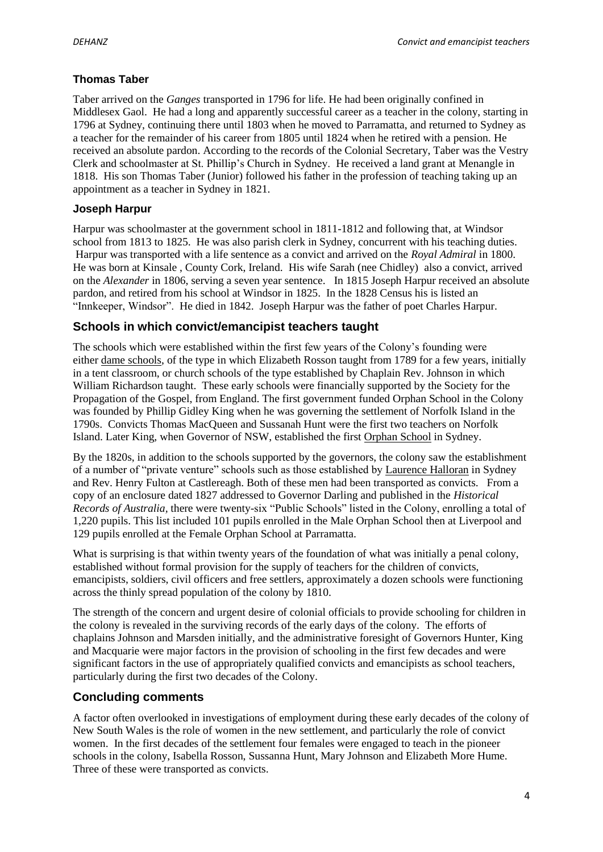# **Thomas Taber**

Taber arrived on the *Ganges* transported in 1796 for life. He had been originally confined in Middlesex Gaol. He had a long and apparently successful career as a teacher in the colony, starting in 1796 at Sydney, continuing there until 1803 when he moved to Parramatta, and returned to Sydney as a teacher for the remainder of his career from 1805 until 1824 when he retired with a pension. He received an absolute pardon. According to the records of the Colonial Secretary, Taber was the Vestry Clerk and schoolmaster at St. Phillip's Church in Sydney. He received a land grant at Menangle in 1818. His son Thomas Taber (Junior) followed his father in the profession of teaching taking up an appointment as a teacher in Sydney in 1821.

## **Joseph Harpur**

Harpur was schoolmaster at the government school in 1811-1812 and following that, at Windsor school from 1813 to 1825. He was also parish clerk in Sydney, concurrent with his teaching duties. Harpur was transported with a life sentence as a convict and arrived on the *Royal Admiral* in 1800. He was born at Kinsale , County Cork, Ireland. His wife Sarah (nee Chidley) also a convict, arrived on the *Alexander* in 1806, serving a seven year sentence. In 1815 Joseph Harpur received an absolute pardon, and retired from his school at Windsor in 1825. In the 1828 Census his is listed an "Innkeeper, Windsor". He died in 1842. Joseph Harpur was the father of poet Charles Harpur.

# **Schools in which convict/emancipist teachers taught**

The schools which were established within the first few years of the Colony's founding were either [dame schools,](http://dehanz.net.au/entries/teaching-pedagogy-1/) of the type in which Elizabeth Rosson taught from 1789 for a few years, initially in a tent classroom, or church schools of the type established by Chaplain Rev. Johnson in which William Richardson taught. These early schools were financially supported by the Society for the Propagation of the Gospel, from England. The first government funded Orphan School in the Colony was founded by Phillip Gidley King when he was governing the settlement of Norfolk Island in the 1790s. Convicts Thomas MacQueen and Sussanah Hunt were the first two teachers on Norfolk Island. Later King, when Governor of NSW, established the first [Orphan School](http://www.uws.edu.au/femaleorphanschool/home/the_female_orphan_school_1813_to_1850) in Sydney.

By the 1820s, in addition to the schools supported by the governors, the colony saw the establishment of a number of "private venture" schools such as those established by [Laurence Halloran](http://adb.anu.edu.au/biography/halloran-laurence-hynes-2149) in Sydney and Rev. Henry Fulton at Castlereagh. Both of these men had been transported as convicts. From a copy of an enclosure dated 1827 addressed to Governor Darling and published in the *Historical Records of Australia,* there were twenty-six "Public Schools" listed in the Colony, enrolling a total of 1,220 pupils. This list included 101 pupils enrolled in the Male Orphan School then at Liverpool and 129 pupils enrolled at the Female Orphan School at Parramatta.

What is surprising is that within twenty years of the foundation of what was initially a penal colony, established without formal provision for the supply of teachers for the children of convicts, emancipists, soldiers, civil officers and free settlers, approximately a dozen schools were functioning across the thinly spread population of the colony by 1810.

The strength of the concern and urgent desire of colonial officials to provide schooling for children in the colony is revealed in the surviving records of the early days of the colony. The efforts of chaplains Johnson and Marsden initially, and the administrative foresight of Governors Hunter, King and Macquarie were major factors in the provision of schooling in the first few decades and were significant factors in the use of appropriately qualified convicts and emancipists as school teachers, particularly during the first two decades of the Colony.

# **Concluding comments**

A factor often overlooked in investigations of employment during these early decades of the colony of New South Wales is the role of women in the new settlement, and particularly the role of convict women. In the first decades of the settlement four females were engaged to teach in the pioneer schools in the colony, Isabella Rosson, Sussanna Hunt, Mary Johnson and Elizabeth More Hume. Three of these were transported as convicts.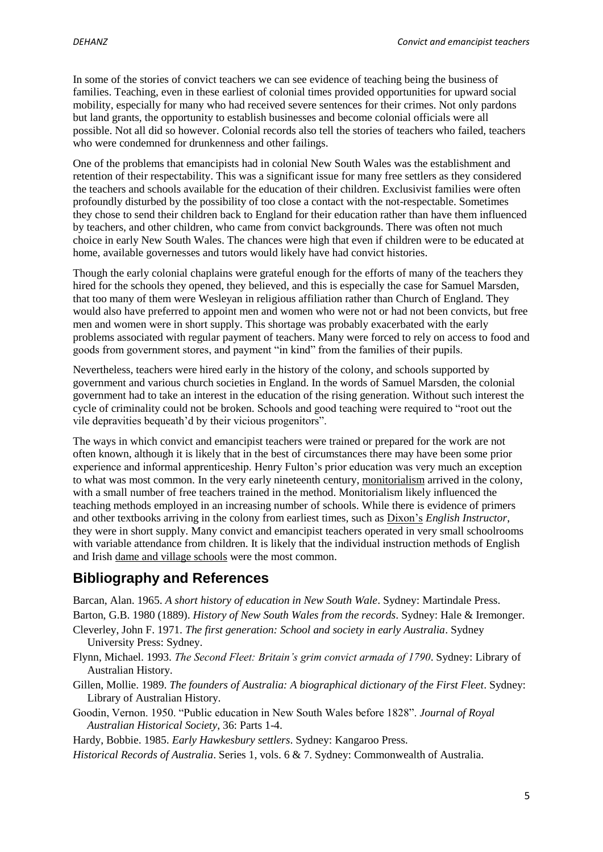In some of the stories of convict teachers we can see evidence of teaching being the business of families. Teaching, even in these earliest of colonial times provided opportunities for upward social mobility, especially for many who had received severe sentences for their crimes. Not only pardons but land grants, the opportunity to establish businesses and become colonial officials were all possible. Not all did so however. Colonial records also tell the stories of teachers who failed, teachers who were condemned for drunkenness and other failings.

One of the problems that emancipists had in colonial New South Wales was the establishment and retention of their respectability. This was a significant issue for many free settlers as they considered the teachers and schools available for the education of their children. Exclusivist families were often profoundly disturbed by the possibility of too close a contact with the not-respectable. Sometimes they chose to send their children back to England for their education rather than have them influenced by teachers, and other children, who came from convict backgrounds. There was often not much choice in early New South Wales. The chances were high that even if children were to be educated at home, available governesses and tutors would likely have had convict histories.

Though the early colonial chaplains were grateful enough for the efforts of many of the teachers they hired for the schools they opened, they believed, and this is especially the case for Samuel Marsden, that too many of them were Wesleyan in religious affiliation rather than Church of England. They would also have preferred to appoint men and women who were not or had not been convicts, but free men and women were in short supply. This shortage was probably exacerbated with the early problems associated with regular payment of teachers. Many were forced to rely on access to food and goods from government stores, and payment "in kind" from the families of their pupils.

Nevertheless, teachers were hired early in the history of the colony, and schools supported by government and various church societies in England. In the words of Samuel Marsden, the colonial government had to take an interest in the education of the rising generation. Without such interest the cycle of criminality could not be broken. Schools and good teaching were required to "root out the vile depravities bequeath'd by their vicious progenitors".

The ways in which convict and emancipist teachers were trained or prepared for the work are not often known, although it is likely that in the best of circumstances there may have been some prior experience and informal apprenticeship. Henry Fulton's prior education was very much an exception to what was most common. In the very early nineteenth century, [monitorialism](http://dehanz.net.au/entries/teaching-pedagogy-1/) arrived in the colony, with a small number of free teachers trained in the method. Monitorialism likely influenced the teaching methods employed in an increasing number of schools. While there is evidence of primers and other textbooks arriving in the colony from earliest times, such as Dixon's *[English Instructor](https://books.google.com.au/books?id=kVlgAAAAcAAJ&source=gbs_similarbooks)*, they were in short supply. Many convict and emancipist teachers operated in very small schoolrooms with variable attendance from children. It is likely that the individual instruction methods of English and Irish [dame and village schools](http://dehanz.net.au/entries/teaching-pedagogy-1/) were the most common.

# **Bibliography and References**

Barcan, Alan. 1965. *A short history of education in New South Wale*. Sydney: Martindale Press. Barton, G.B. 1980 (1889). *History of New South Wales from the records*. Sydney: Hale & Iremonger. Cleverley, John F. 1971. *The first generation: School and society in early Australia*. Sydney

- University Press: Sydney.
- Flynn, Michael. 1993. *The Second Fleet: Britain's grim convict armada of 1790*. Sydney: Library of Australian History.
- Gillen, Mollie. 1989. *The founders of Australia: A biographical dictionary of the First Fleet*. Sydney: Library of Australian History.
- Goodin, Vernon. 1950. "Public education in New South Wales before 1828". *Journal of Royal Australian Historical Society*, 36: Parts 1-4.

Hardy, Bobbie. 1985. *Early Hawkesbury settlers*. Sydney: Kangaroo Press.

*Historical Records of Australia*. Series 1, vols. 6 & 7. Sydney: Commonwealth of Australia.